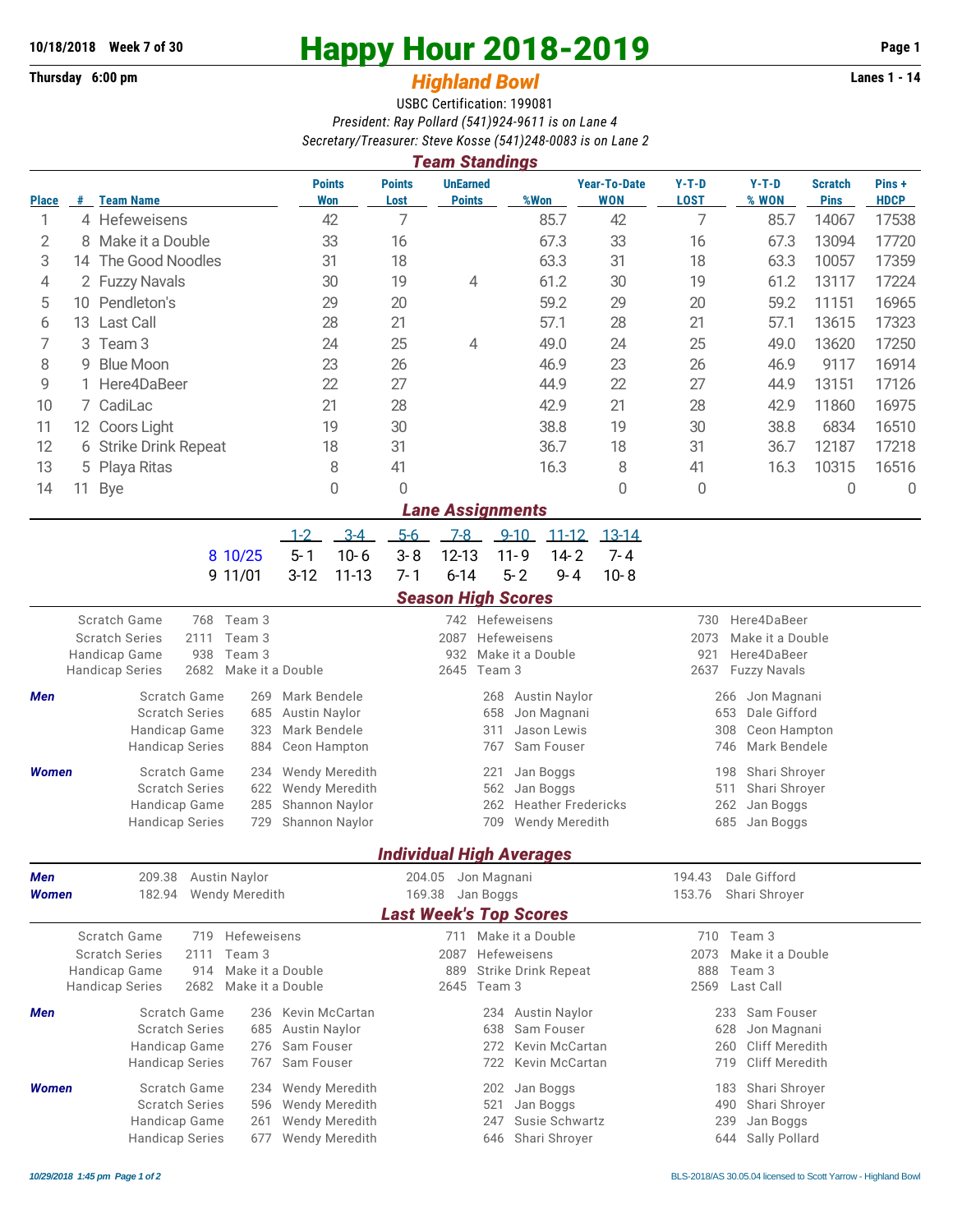## **Thursday 6:00 pm** *Highland Bowl*

## **10/18/2018** Week 7 of 30<br>
Thursday 6:00 pm<br> **Happy Hour 2018-2019 Page 1**<br> **Highland Rowl**

## USBC Certification: 199081 *President: Ray Pollard (541)924-9611 is on Lane 4 Secretary/Treasurer: Steve Kosse (541)248-0083 is on Lane 2*

| <b>Team Standings</b>          |                        |                                                                                                |                                        |                                                  |                                  |                                      |                                     |                                                   |                                           |                      |                               |                      |  |  |
|--------------------------------|------------------------|------------------------------------------------------------------------------------------------|----------------------------------------|--------------------------------------------------|----------------------------------|--------------------------------------|-------------------------------------|---------------------------------------------------|-------------------------------------------|----------------------|-------------------------------|----------------------|--|--|
| <b>Place</b>                   |                        | # Team Name                                                                                    | <b>Points</b><br>Won                   | <b>Points</b><br>Lost                            | <b>UnEarned</b><br><b>Points</b> | %Won                                 |                                     | <b>Year-To-Date</b><br><b>WON</b>                 | $Y-T-D$<br><b>LOST</b>                    | $Y-T-D$<br>% WON     | <b>Scratch</b><br><b>Pins</b> | Pins+<br><b>HDCP</b> |  |  |
| 1                              |                        | 4 Hefeweisens                                                                                  | 42                                     | 7                                                |                                  |                                      | 85.7                                | 42                                                | 7                                         | 85.7                 | 14067                         | 17538                |  |  |
| 2                              |                        | 8 Make it a Double                                                                             | 33                                     | 16                                               |                                  |                                      | 67.3                                | 33                                                | 16                                        | 67.3                 | 13094                         | 17720                |  |  |
| 3                              | The Good Noodles<br>14 |                                                                                                | 31                                     | 18                                               |                                  |                                      | 63.3                                | 31                                                | 18                                        | 63.3                 | 10057                         | 17359                |  |  |
| 4                              | 2 Fuzzy Navals         |                                                                                                | 30                                     | 19                                               | 4                                |                                      | 61.2                                | 30                                                | 19                                        | 61.2                 | 13117                         | 17224                |  |  |
| 5                              | 10 Pendleton's         |                                                                                                | 29                                     | 20                                               |                                  |                                      | 59.2                                | 29                                                | 20                                        | 59.2                 | 11151                         | 16965                |  |  |
| 6                              | 13 Last Call           |                                                                                                | 28                                     | 21                                               |                                  |                                      | 57.1                                |                                                   | 21                                        | 57.1                 | 13615                         | 17323                |  |  |
| 7<br>3                         |                        | Team 3                                                                                         | 24                                     | 25                                               | 4                                |                                      | 49.0                                | 24                                                | 25                                        | 49.0                 | 13620                         | 17250                |  |  |
| 8<br>9                         |                        | <b>Blue Moon</b>                                                                               | 23                                     | 26                                               |                                  |                                      | 46.9                                | 23                                                | 26                                        | 46.9                 | 9117                          | 16914                |  |  |
| 9                              |                        | Here4DaBeer                                                                                    | 22                                     | 27                                               |                                  |                                      | 44.9                                | 22                                                | 27                                        | 44.9                 | 13151                         | 17126                |  |  |
| 7 CadiLac<br>10                |                        |                                                                                                | 21                                     | 28                                               |                                  |                                      | 42.9                                | 21                                                | 28                                        | 42.9                 | 11860                         | 16975                |  |  |
| 11<br>12 Coors Light           |                        |                                                                                                | 19                                     | 30                                               |                                  |                                      | 38.8                                | 19                                                | 30                                        | 38.8                 | 6834                          | 16510                |  |  |
| 12<br>6 Strike Drink Repeat    |                        |                                                                                                | 18                                     | 31                                               |                                  |                                      | 36.7                                | 18                                                | 31                                        | 36.7                 | 12187                         | 17218                |  |  |
| 13                             | Playa Ritas<br>5       |                                                                                                | 8                                      | 41                                               |                                  |                                      | 16.3                                | 8                                                 | 41                                        | 16.3                 | 10315                         | 16516                |  |  |
| 14                             | 11                     | <b>Bye</b>                                                                                     | $\mathbf{0}$                           | 0                                                |                                  |                                      |                                     | $\overline{0}$                                    | 0                                         |                      | 0                             | 0                    |  |  |
| <b>Lane Assignments</b>        |                        |                                                                                                |                                        |                                                  |                                  |                                      |                                     |                                                   |                                           |                      |                               |                      |  |  |
|                                |                        |                                                                                                | $3 - 4$<br>$1 - 2$                     | $5-6$                                            | $7 - 8$                          | $9 - 10$                             | $11 - 12$                           | $13 - 14$                                         |                                           |                      |                               |                      |  |  |
|                                |                        | 8 10/25                                                                                        | $10 - 6$<br>$5 - 1$                    | $3 - 8$                                          | $12 - 13$                        | $11 - 9$                             | $14 - 2$                            | $7 - 4$                                           |                                           |                      |                               |                      |  |  |
|                                |                        | 9 11/01                                                                                        | $3-12$<br>$11 - 13$                    | $7 - 1$                                          | $6 - 14$                         | $5 - 2$                              | $9 - 4$                             | $10 - 8$                                          |                                           |                      |                               |                      |  |  |
|                                |                        |                                                                                                |                                        |                                                  | <b>Season High Scores</b>        |                                      |                                     |                                                   |                                           |                      |                               |                      |  |  |
| Scratch Game<br>768 Team 3     |                        |                                                                                                |                                        |                                                  |                                  | 742 Hefeweisens                      |                                     |                                                   | Here4DaBeer<br>730                        |                      |                               |                      |  |  |
|                                |                        | <b>Scratch Series</b><br>2111<br>Team 3                                                        |                                        |                                                  | 2087                             | Hefeweisens                          |                                     |                                                   | Make it a Double<br>2073                  |                      |                               |                      |  |  |
|                                |                        | 938<br>Handicap Game<br>Team 3<br>2682<br><b>Handicap Series</b><br>Make it a Double           |                                        |                                                  | 932<br>2645                      | Make it a Double<br>Team 3           |                                     | Here4DaBeer<br>921<br>2637<br><b>Fuzzy Navals</b> |                                           |                      |                               |                      |  |  |
|                                |                        |                                                                                                |                                        |                                                  |                                  |                                      |                                     |                                                   | Jon Magnani<br>266<br>653<br>Dale Gifford |                      |                               |                      |  |  |
| Men                            |                        | Scratch Game<br>269<br><b>Scratch Series</b><br>685                                            | Mark Bendele<br><b>Austin Naylor</b>   |                                                  |                                  | 268<br>658                           | <b>Austin Naylor</b><br>Jon Magnani |                                                   |                                           |                      |                               |                      |  |  |
|                                |                        | Handicap Game<br>323                                                                           | Mark Bendele                           |                                                  | Jason Lewis<br>311               |                                      |                                     |                                                   |                                           | 308<br>Ceon Hampton  |                               |                      |  |  |
|                                |                        | <b>Handicap Series</b><br>884                                                                  | Ceon Hampton                           | Sam Fouser<br>767                                |                                  |                                      |                                     |                                                   |                                           | Mark Bendele<br>746  |                               |                      |  |  |
| <b>Women</b>                   |                        | Scratch Game<br>234                                                                            | <b>Wendy Meredith</b>                  |                                                  |                                  | 221                                  | Jan Boggs                           |                                                   | 198<br>Shari Shroyer                      |                      |                               |                      |  |  |
|                                |                        | <b>Scratch Series</b><br>622                                                                   | Wendy Meredith                         |                                                  | 562<br>Jan Boggs                 |                                      |                                     |                                                   |                                           | Shari Shroyer<br>511 |                               |                      |  |  |
|                                |                        | Handicap Game<br>285                                                                           | Shannon Naylor                         |                                                  |                                  | 262                                  | <b>Heather Fredericks</b>           | 262<br>Jan Boggs                                  |                                           |                      |                               |                      |  |  |
|                                |                        | <b>Handicap Series</b><br>729                                                                  | Shannon Naylor                         |                                                  |                                  | 709                                  | Wendy Meredith                      |                                                   | 685<br>Jan Boggs                          |                      |                               |                      |  |  |
|                                |                        |                                                                                                |                                        |                                                  | <b>Individual High Averages</b>  |                                      |                                     |                                                   |                                           |                      |                               |                      |  |  |
| 209.38<br>Austin Naylor<br>Men |                        |                                                                                                |                                        | 204.05                                           |                                  | Jon Magnani                          |                                     |                                                   | Dale Gifford<br>194.43                    |                      |                               |                      |  |  |
| <b>Women</b>                   |                        | <b>Wendy Meredith</b><br>182.94                                                                | 169.38                                 | Jan Boggs                                        |                                  |                                      |                                     | 153.76<br>Shari Shrover                           |                                           |                      |                               |                      |  |  |
|                                |                        |                                                                                                |                                        |                                                  | <b>Last Week's Top Scores</b>    |                                      |                                     |                                                   |                                           |                      |                               |                      |  |  |
|                                |                        | Scratch Game<br>Hefeweisens<br>719                                                             |                                        | 711 Make it a Double                             |                                  |                                      |                                     |                                                   |                                           | 710 Team 3           |                               |                      |  |  |
|                                |                        | <b>Scratch Series</b><br>2111<br>Team 3                                                        |                                        |                                                  | 2087                             | Hefeweisens                          |                                     |                                                   | Make it a Double<br>2073                  |                      |                               |                      |  |  |
|                                |                        | Handicap Game<br>914<br>Make it a Double<br>2682<br><b>Handicap Series</b><br>Make it a Double |                                        |                                                  | 889<br>2645                      | <b>Strike Drink Repeat</b><br>Team 3 |                                     | 888<br>2569                                       | Team 3<br>Last Call                       |                      |                               |                      |  |  |
|                                |                        |                                                                                                |                                        |                                                  |                                  |                                      |                                     |                                                   |                                           |                      |                               |                      |  |  |
| Men                            |                        | Scratch Game<br>236<br><b>Scratch Series</b><br>685                                            | Kevin McCartan<br><b>Austin Naylor</b> | <b>Austin Naylor</b><br>234<br>Sam Fouser<br>638 |                                  |                                      |                                     | 233 Sam Fouser<br>Jon Magnani<br>628              |                                           |                      |                               |                      |  |  |
|                                |                        | Handicap Game<br>276                                                                           | Sam Fouser                             |                                                  | Kevin McCartan<br>272            |                                      |                                     |                                                   | <b>Cliff Meredith</b><br>260              |                      |                               |                      |  |  |
|                                |                        | <b>Handicap Series</b><br>767                                                                  | Sam Fouser                             |                                                  | Kevin McCartan<br>719<br>722     |                                      |                                     |                                                   | Cliff Meredith                            |                      |                               |                      |  |  |
| <b>Women</b>                   |                        | Scratch Game<br>234                                                                            | Wendy Meredith                         |                                                  | Jan Boggs<br>202                 |                                      |                                     |                                                   |                                           | Shari Shroyer<br>183 |                               |                      |  |  |
|                                |                        | <b>Scratch Series</b><br>596                                                                   | <b>Wendy Meredith</b>                  |                                                  | Jan Boggs<br>521<br>490          |                                      |                                     |                                                   | Shari Shroyer                             |                      |                               |                      |  |  |
|                                |                        | Handicap Game<br>261                                                                           | Wendy Meredith                         | Susie Schwartz<br>247<br>239                     |                                  |                                      |                                     |                                                   | Jan Boggs                                 |                      |                               |                      |  |  |
|                                |                        | <b>Handicap Series</b><br>677                                                                  | Wendy Meredith                         | Shari Shroyer<br>Sally Pollard<br>646<br>644     |                                  |                                      |                                     |                                                   |                                           |                      |                               |                      |  |  |